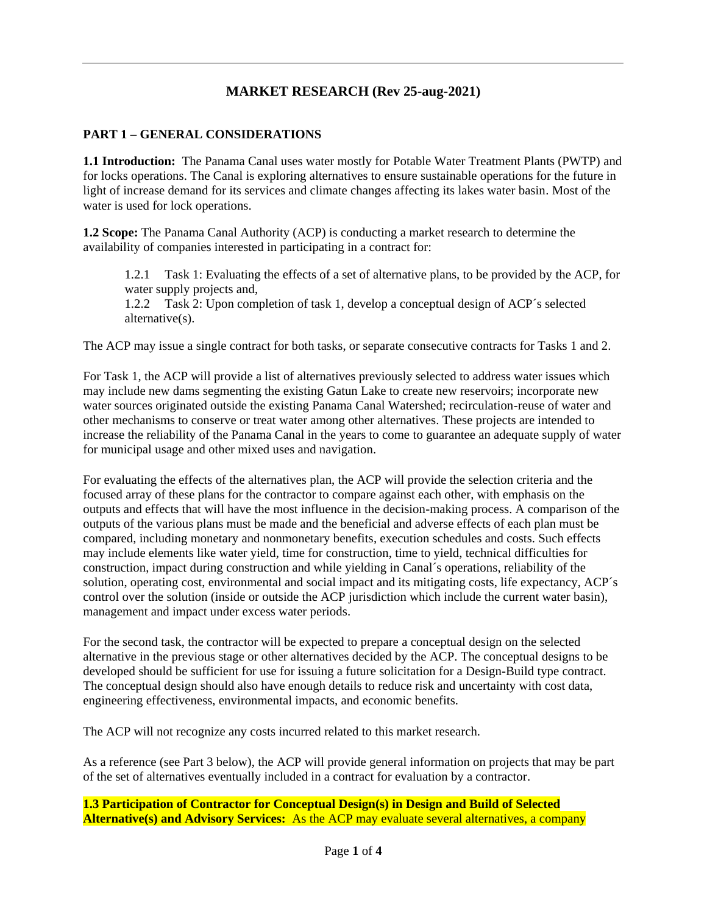## **MARKET RESEARCH (Rev 25-aug-2021)**

## **PART 1 – GENERAL CONSIDERATIONS**

**1.1 Introduction:** The Panama Canal uses water mostly for Potable Water Treatment Plants (PWTP) and for locks operations. The Canal is exploring alternatives to ensure sustainable operations for the future in light of increase demand for its services and climate changes affecting its lakes water basin. Most of the water is used for lock operations.

**1.2 Scope:** The Panama Canal Authority (ACP) is conducting a market research to determine the availability of companies interested in participating in a contract for:

1.2.1 Task 1: Evaluating the effects of a set of alternative plans, to be provided by the ACP, for water supply projects and,

1.2.2 Task 2: Upon completion of task 1, develop a conceptual design of ACP´s selected alternative(s).

The ACP may issue a single contract for both tasks, or separate consecutive contracts for Tasks 1 and 2.

For Task 1, the ACP will provide a list of alternatives previously selected to address water issues which may include new dams segmenting the existing Gatun Lake to create new reservoirs; incorporate new water sources originated outside the existing Panama Canal Watershed; recirculation-reuse of water and other mechanisms to conserve or treat water among other alternatives. These projects are intended to increase the reliability of the Panama Canal in the years to come to guarantee an adequate supply of water for municipal usage and other mixed uses and navigation.

For evaluating the effects of the alternatives plan, the ACP will provide the selection criteria and the focused array of these plans for the contractor to compare against each other, with emphasis on the outputs and effects that will have the most influence in the decision-making process. A comparison of the outputs of the various plans must be made and the beneficial and adverse effects of each plan must be compared, including monetary and nonmonetary benefits, execution schedules and costs. Such effects may include elements like water yield, time for construction, time to yield, technical difficulties for construction, impact during construction and while yielding in Canal´s operations, reliability of the solution, operating cost, environmental and social impact and its mitigating costs, life expectancy, ACP´s control over the solution (inside or outside the ACP jurisdiction which include the current water basin), management and impact under excess water periods.

For the second task, the contractor will be expected to prepare a conceptual design on the selected alternative in the previous stage or other alternatives decided by the ACP. The conceptual designs to be developed should be sufficient for use for issuing a future solicitation for a Design-Build type contract. The conceptual design should also have enough details to reduce risk and uncertainty with cost data, engineering effectiveness, environmental impacts, and economic benefits.

The ACP will not recognize any costs incurred related to this market research.

As a reference (see Part 3 below), the ACP will provide general information on projects that may be part of the set of alternatives eventually included in a contract for evaluation by a contractor.

**1.3 Participation of Contractor for Conceptual Design(s) in Design and Build of Selected Alternative(s) and Advisory Services:** As the ACP may evaluate several alternatives, a company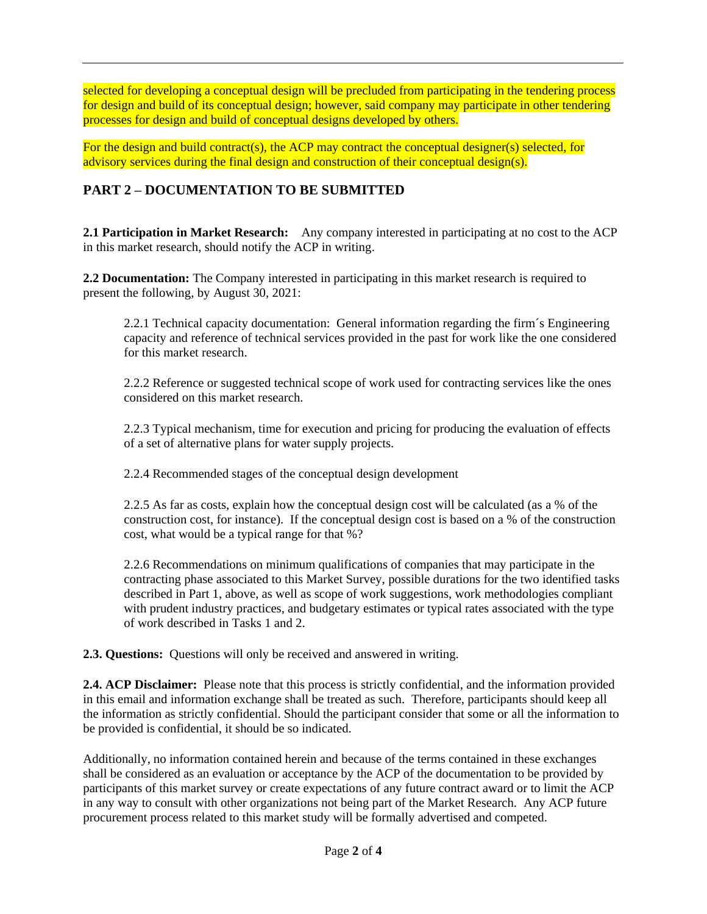selected for developing a conceptual design will be precluded from participating in the tendering process for design and build of its conceptual design; however, said company may participate in other tendering processes for design and build of conceptual designs developed by others.

For the design and build contract(s), the ACP may contract the conceptual designer(s) selected, for advisory services during the final design and construction of their conceptual design(s).

## **PART 2 – DOCUMENTATION TO BE SUBMITTED**

**2.1 Participation in Market Research:** Any company interested in participating at no cost to the ACP in this market research, should notify the ACP in writing.

**2.2 Documentation:** The Company interested in participating in this market research is required to present the following, by August 30, 2021:

2.2.1 Technical capacity documentation: General information regarding the firm´s Engineering capacity and reference of technical services provided in the past for work like the one considered for this market research.

2.2.2 Reference or suggested technical scope of work used for contracting services like the ones considered on this market research.

2.2.3 Typical mechanism, time for execution and pricing for producing the evaluation of effects of a set of alternative plans for water supply projects.

2.2.4 Recommended stages of the conceptual design development

2.2.5 As far as costs, explain how the conceptual design cost will be calculated (as a % of the construction cost, for instance). If the conceptual design cost is based on a % of the construction cost, what would be a typical range for that %?

2.2.6 Recommendations on minimum qualifications of companies that may participate in the contracting phase associated to this Market Survey, possible durations for the two identified tasks described in Part 1, above, as well as scope of work suggestions, work methodologies compliant with prudent industry practices, and budgetary estimates or typical rates associated with the type of work described in Tasks 1 and 2.

**2.3. Questions:** Questions will only be received and answered in writing.

**2.4. ACP Disclaimer:** Please note that this process is strictly confidential, and the information provided in this email and information exchange shall be treated as such. Therefore, participants should keep all the information as strictly confidential. Should the participant consider that some or all the information to be provided is confidential, it should be so indicated.

Additionally, no information contained herein and because of the terms contained in these exchanges shall be considered as an evaluation or acceptance by the ACP of the documentation to be provided by participants of this market survey or create expectations of any future contract award or to limit the ACP in any way to consult with other organizations not being part of the Market Research. Any ACP future procurement process related to this market study will be formally advertised and competed.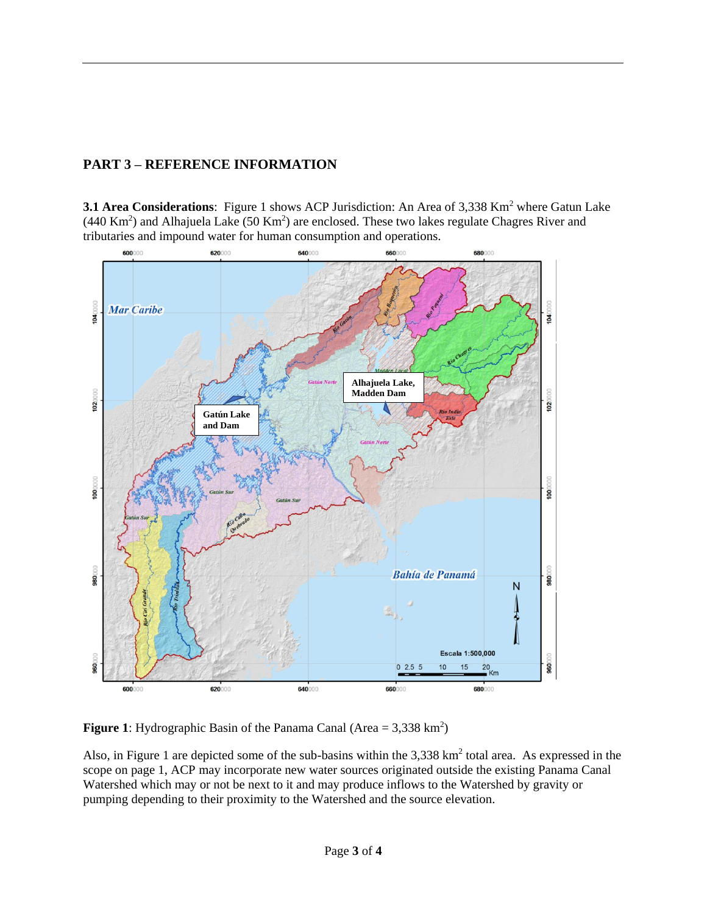## **PART 3 – REFERENCE INFORMATION**

**3.1 Area Considerations**: Figure 1 shows ACP Jurisdiction: An Area of 3,338 Km<sup>2</sup> where Gatun Lake  $(440 \text{ Km}^2)$  and Alhajuela Lake  $(50 \text{ Km}^2)$  are enclosed. These two lakes regulate Chagres River and tributaries and impound water for human consumption and operations.



**Figure 1:** Hydrographic Basin of the Panama Canal (Area =  $3,338 \text{ km}^2$ )

Also, in Figure 1 are depicted some of the sub-basins within the  $3,338$  km<sup>2</sup> total area. As expressed in the scope on page 1, ACP may incorporate new water sources originated outside the existing Panama Canal Watershed which may or not be next to it and may produce inflows to the Watershed by gravity or pumping depending to their proximity to the Watershed and the source elevation.